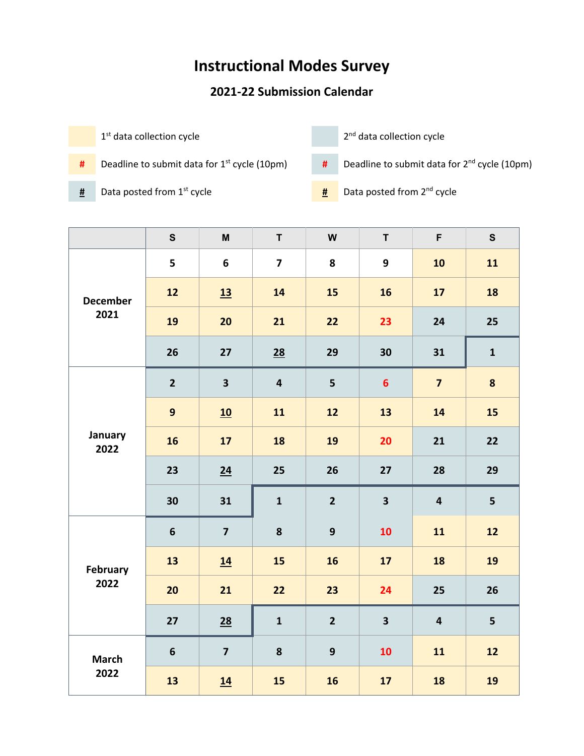## **Instructional Modes Survey**

## **2021-22 Submission Calendar**

 $1<sup>st</sup>$  data collection cycle  $2<sup>nd</sup>$  data collection cycle **#** Deadline to submit data for 1st cycle (10pm) **#** Deadline to submit data for 2nd cycle (10pm)

- 
- 

- 
- **#** Data posted from 1st cycle **#** Data posted from 2nd cycle

|                         | $\mathbf s$     | $\boldsymbol{\mathsf{M}}$ | $\mathsf T$             | W                | $\mathsf T$             | F                       | ${\mathsf S}$ |
|-------------------------|-----------------|---------------------------|-------------------------|------------------|-------------------------|-------------------------|---------------|
| <b>December</b><br>2021 | 5               | 6                         | $\overline{\mathbf{z}}$ | 8                | $\boldsymbol{9}$        | 10                      | 11            |
|                         | 12              | 13                        | 14                      | 15               | 16                      | 17                      | 18            |
|                         | 19              | 20                        | 21                      | 22               | 23                      | 24                      | 25            |
|                         | 26              | 27                        | 28                      | 29               | 30                      | 31                      | $\mathbf{1}$  |
| January<br>2022         | $\overline{2}$  | $\overline{\mathbf{3}}$   | $\overline{\mathbf{4}}$ | 5                | $6\phantom{1}$          | $\overline{7}$          | 8             |
|                         | $\mathbf{9}$    | 10                        | 11                      | 12               | 13                      | 14                      | 15            |
|                         | 16              | 17                        | 18                      | 19               | 20                      | 21                      | 22            |
|                         | 23              | 24                        | 25                      | 26               | 27                      | 28                      | 29            |
|                         | 30              | 31                        | $\mathbf{1}$            | $\overline{2}$   | $\overline{\mathbf{3}}$ | $\overline{\mathbf{4}}$ | 5             |
| <b>February</b><br>2022 | $6\phantom{1}6$ | $\overline{\mathbf{z}}$   | 8                       | $\mathbf{9}$     | 10                      | 11                      | 12            |
|                         | 13              | 14                        | 15                      | 16               | 17                      | 18                      | 19            |
|                         | 20              | 21                        | 22                      | 23               | 24                      | 25                      | 26            |
|                         | 27              | $\underline{28}$          | $\mathbf{1}$            | $\overline{2}$   | $\overline{\mathbf{3}}$ | $\overline{\mathbf{4}}$ | 5             |
| <b>March</b><br>2022    | 6               | $\overline{\mathbf{z}}$   | 8                       | $\boldsymbol{9}$ | 10                      | 11                      | 12            |
|                         | 13              | 14                        | 15                      | 16               | 17                      | 18                      | 19            |